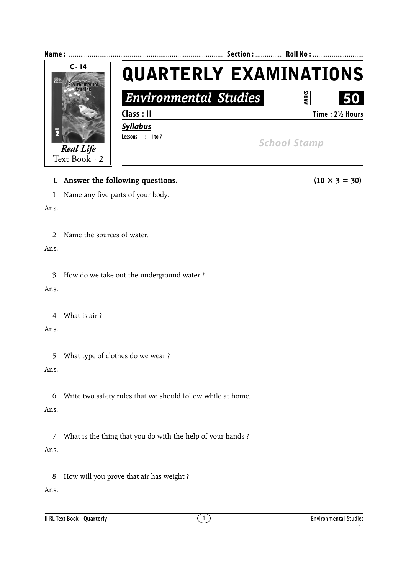

#### **I.** Answer the following questions. (10  $\times$  3 = 30)

1. Name any five parts of your body.

#### Ans.

2. Name the sources of water.

#### Ans.

3. How do we take out the underground water ?

#### Ans.

4. What is air ?

# Ans.

5. What type of clothes do we wear ?

# Ans.

6. Write two safety rules that we should follow while at home.

# Ans.

7. What is the thing that you do with the help of your hands ? Ans.

8. How will you prove that air has weight ?

# Ans.